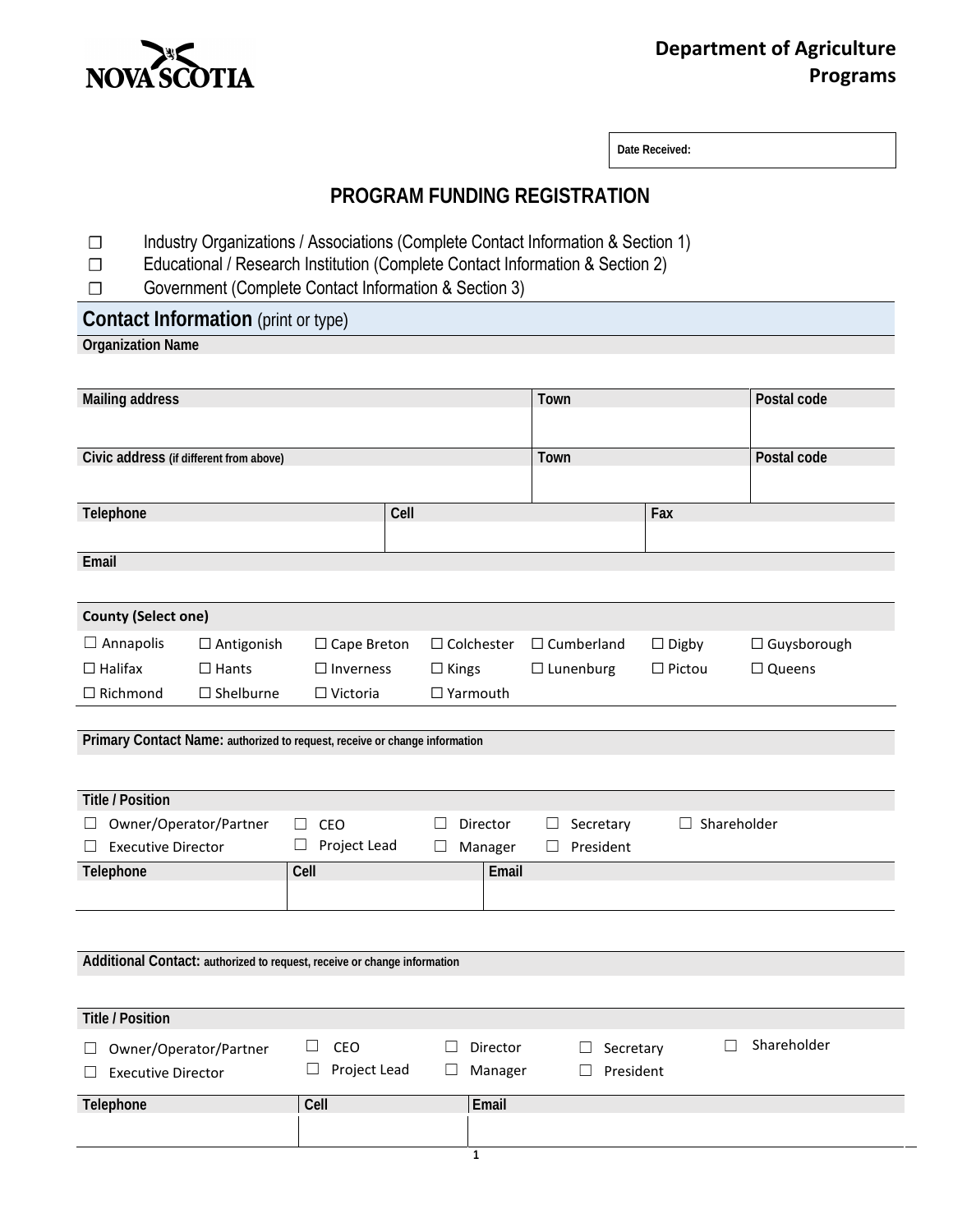

# **Department of Agriculture Programs**

**Date Received:** 

#### **PROGRAM FUNDING REGISTRATION**

- ☐ Industry Organizations / Associations (Complete Contact Information & Section 1)
- □ Educational / Research Institution (Complete Contact Information & Section 2)<br>□ Government (Complete Contact Information & Section 3)
- Government (Complete Contact Information & Section 3)

# **Contact Information** (print or type)

## **Organization Name**

| <b>Mailing address</b>                                                            |                        |                                                                                                                            |                                             | Town                                       |                    | Postal code        |
|-----------------------------------------------------------------------------------|------------------------|----------------------------------------------------------------------------------------------------------------------------|---------------------------------------------|--------------------------------------------|--------------------|--------------------|
| Civic address (if different from above)                                           |                        |                                                                                                                            |                                             | Town                                       |                    | Postal code        |
|                                                                                   |                        |                                                                                                                            |                                             |                                            |                    |                    |
| Telephone                                                                         |                        |                                                                                                                            |                                             |                                            | Fax                |                    |
| Email                                                                             |                        |                                                                                                                            |                                             |                                            |                    |                    |
|                                                                                   |                        |                                                                                                                            |                                             |                                            |                    |                    |
| <b>County (Select one)</b>                                                        |                        |                                                                                                                            |                                             |                                            |                    |                    |
| $\Box$ Annapolis                                                                  | $\Box$ Antigonish      | $\Box$ Cape Breton                                                                                                         | $\Box$ Colchester                           | $\Box$ Cumberland                          | $\Box$ Digby       | $\Box$ Guysborough |
| $\Box$ Halifax                                                                    | $\Box$ Hants           | $\Box$ Inverness                                                                                                           | $\Box$ Kings                                | $\Box$ Lunenburg                           | $\Box$ Pictou      | $\Box$ Queens      |
| $\Box$ Richmond                                                                   | $\square$ Shelburne    | $\Box$ Victoria                                                                                                            | $\Box$ Yarmouth                             |                                            |                    |                    |
| <b>Title / Position</b><br>ш<br><b>Executive Director</b><br>$\perp$<br>Telephone | Owner/Operator/Partner | Primary Contact Name: authorized to request, receive or change information<br>CEO<br>П<br>Project Lead<br>$\sqcup$<br>Cell | Director<br>П<br>Manager<br>$\Box$<br>Email | Secretary<br>$\Box$<br>President<br>$\Box$ | $\Box$ Shareholder |                    |
| Additional Contact: authorized to request, receive or change information          |                        |                                                                                                                            |                                             |                                            |                    |                    |
|                                                                                   |                        |                                                                                                                            |                                             |                                            |                    |                    |
| <b>Title / Position</b>                                                           |                        |                                                                                                                            |                                             |                                            |                    |                    |
| <b>Executive Director</b><br>$\Box$                                               | Owner/Operator/Partner | CEO<br>$\Box$<br>Project Lead<br>$\Box$                                                                                    | Director<br>□<br>Manager<br>$\sqcup$        | Secretary<br>ш<br>President                | П                  | Shareholder        |
| Telephone                                                                         |                        | Cell                                                                                                                       | Email                                       |                                            |                    |                    |
|                                                                                   |                        |                                                                                                                            |                                             |                                            |                    |                    |
|                                                                                   |                        |                                                                                                                            | $\mathbf{1}$                                |                                            |                    |                    |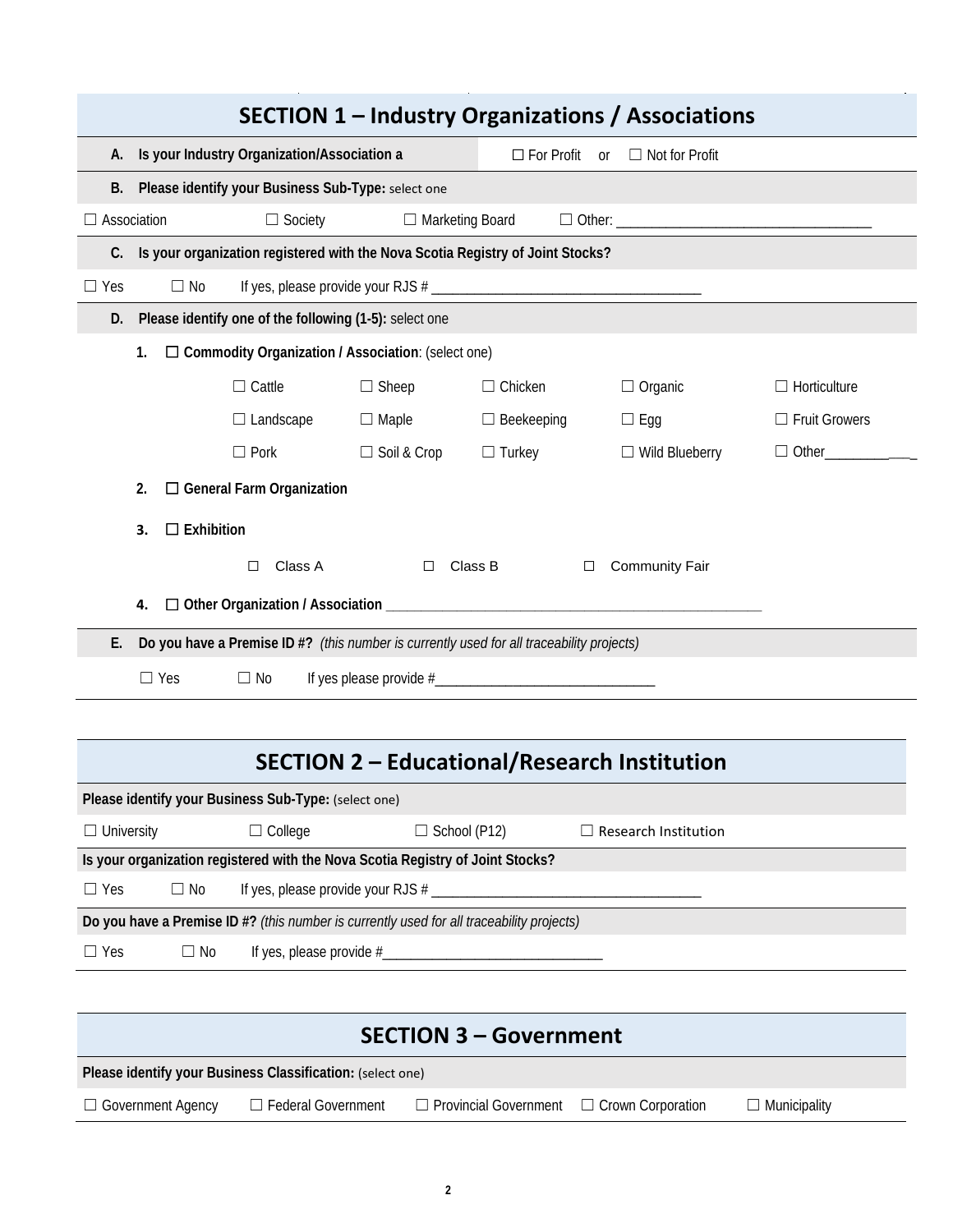| <b>SECTION 1 - Industry Organizations / Associations</b>                                  |                                                                                           |                                                                                                 |                     |                   |                             |                      |  |  |
|-------------------------------------------------------------------------------------------|-------------------------------------------------------------------------------------------|-------------------------------------------------------------------------------------------------|---------------------|-------------------|-----------------------------|----------------------|--|--|
|                                                                                           |                                                                                           |                                                                                                 |                     |                   |                             |                      |  |  |
|                                                                                           |                                                                                           | A. Is your Industry Organization/Association a<br>$\Box$ For Profit or<br>$\Box$ Not for Profit |                     |                   |                             |                      |  |  |
|                                                                                           | B. Please identify your Business Sub-Type: select one                                     |                                                                                                 |                     |                   |                             |                      |  |  |
|                                                                                           | Association<br>□ Marketing Board<br>$\Box$ Society                                        |                                                                                                 |                     |                   |                             |                      |  |  |
|                                                                                           | C. Is your organization registered with the Nova Scotia Registry of Joint Stocks?         |                                                                                                 |                     |                   |                             |                      |  |  |
| $\Box$ Yes                                                                                | $\Box$ No                                                                                 |                                                                                                 |                     |                   |                             |                      |  |  |
| D.                                                                                        |                                                                                           | Please identify one of the following (1-5): select one                                          |                     |                   |                             |                      |  |  |
|                                                                                           | 1.                                                                                        | □ Commodity Organization / Association: (select one)                                            |                     |                   |                             |                      |  |  |
|                                                                                           |                                                                                           | $\Box$ Cattle                                                                                   | $\Box$ Sheep        | $\Box$ Chicken    | $\Box$ Organic              | $\Box$ Horticulture  |  |  |
|                                                                                           |                                                                                           | $\Box$ Landscape                                                                                | $\Box$ Maple        | $\Box$ Beekeeping | $\Box$ Egg                  | $\Box$ Fruit Growers |  |  |
|                                                                                           |                                                                                           | $\Box$ Pork                                                                                     | □ Soil & Crop       | $\Box$ Turkey     | $\Box$ Wild Blueberry       | $\Box$ Other         |  |  |
|                                                                                           | 2.                                                                                        | $\Box$ General Farm Organization                                                                |                     |                   |                             |                      |  |  |
|                                                                                           |                                                                                           |                                                                                                 |                     |                   |                             |                      |  |  |
|                                                                                           | $\Box$ Exhibition<br>3.                                                                   |                                                                                                 |                     |                   |                             |                      |  |  |
|                                                                                           |                                                                                           | Class A<br>$\Box$                                                                               | $\Box$              | Class B<br>□      | <b>Community Fair</b>       |                      |  |  |
|                                                                                           | 4.                                                                                        |                                                                                                 |                     |                   |                             |                      |  |  |
| Е.                                                                                        | Do you have a Premise ID #? (this number is currently used for all traceability projects) |                                                                                                 |                     |                   |                             |                      |  |  |
| $\Box$ Yes<br>$\Box$ No                                                                   |                                                                                           |                                                                                                 |                     |                   |                             |                      |  |  |
|                                                                                           |                                                                                           |                                                                                                 |                     |                   |                             |                      |  |  |
|                                                                                           |                                                                                           |                                                                                                 |                     |                   |                             |                      |  |  |
| <b>SECTION 2 - Educational/Research Institution</b>                                       |                                                                                           |                                                                                                 |                     |                   |                             |                      |  |  |
| Please identify your Business Sub-Type: (select one)                                      |                                                                                           |                                                                                                 |                     |                   |                             |                      |  |  |
| $\Box$ University                                                                         |                                                                                           | $\Box$ College                                                                                  | $\Box$ School (P12) |                   | $\Box$ Research Institution |                      |  |  |
| Is your organization registered with the Nova Scotia Registry of Joint Stocks?            |                                                                                           |                                                                                                 |                     |                   |                             |                      |  |  |
| $\Box$ Yes<br>$\Box$ No                                                                   |                                                                                           |                                                                                                 |                     |                   |                             |                      |  |  |
| Do you have a Premise ID #? (this number is currently used for all traceability projects) |                                                                                           |                                                                                                 |                     |                   |                             |                      |  |  |
| $\Box$ Yes                                                                                | $\Box$ No                                                                                 |                                                                                                 |                     |                   |                             |                      |  |  |
|                                                                                           |                                                                                           |                                                                                                 |                     |                   |                             |                      |  |  |

| <b>SECTION 3 – Government</b>                              |                           |                                                       |  |                     |  |  |  |
|------------------------------------------------------------|---------------------------|-------------------------------------------------------|--|---------------------|--|--|--|
| Please identify your Business Classification: (select one) |                           |                                                       |  |                     |  |  |  |
| $\Box$ Government Agency                                   | $\Box$ Federal Government | $\Box$ Provincial Government $\Box$ Crown Corporation |  | $\Box$ Municipality |  |  |  |